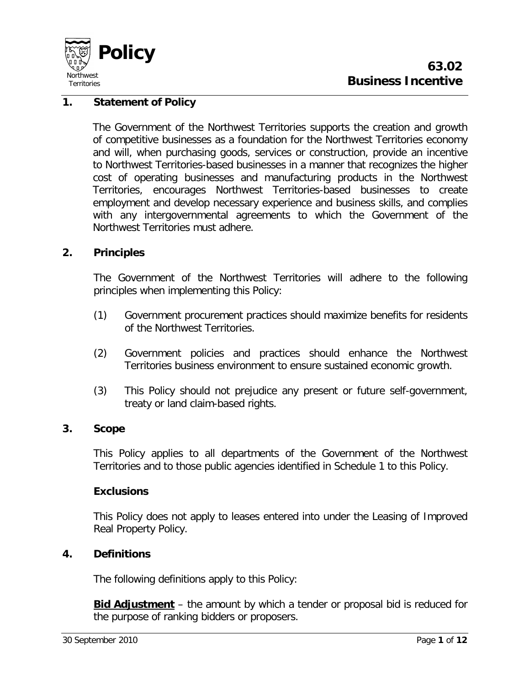

# **1. Statement of Policy**

The Government of the Northwest Territories supports the creation and growth of competitive businesses as a foundation for the Northwest Territories economy and will, when purchasing goods, services or construction, provide an incentive to Northwest Territories-based businesses in a manner that recognizes the higher cost of operating businesses and manufacturing products in the Northwest Territories, encourages Northwest Territories-based businesses to create employment and develop necessary experience and business skills, and complies with any intergovernmental agreements to which the Government of the Northwest Territories must adhere.

# **2. Principles**

The Government of the Northwest Territories will adhere to the following principles when implementing this Policy:

- (1) Government procurement practices should maximize benefits for residents of the Northwest Territories.
- (2) Government policies and practices should enhance the Northwest Territories business environment to ensure sustained economic growth.
- (3) This Policy should not prejudice any present or future self-government, treaty or land claim-based rights.

#### **3. Scope**

This Policy applies to all departments of the Government of the Northwest Territories and to those public agencies identified in Schedule 1 to this Policy.

#### **Exclusions**

This Policy does not apply to leases entered into under the Leasing of Improved Real Property Policy.

#### **4. Definitions**

The following definitions apply to this Policy:

**Bid Adjustment** – the amount by which a tender or proposal bid is reduced for the purpose of ranking bidders or proposers.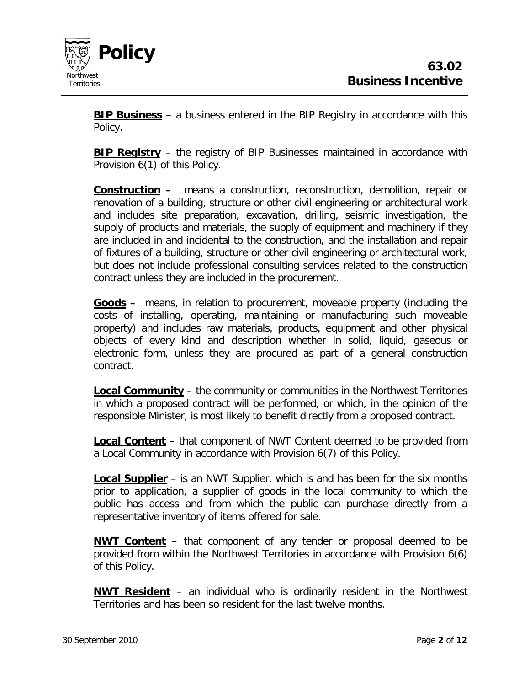

**BIP Business** – a business entered in the BIP Registry in accordance with this Policy.

**BIP Registry** – the registry of BIP Businesses maintained in accordance with Provision 6(1) of this Policy.

**Construction –** means a construction, reconstruction, demolition, repair or renovation of a building, structure or other civil engineering or architectural work and includes site preparation, excavation, drilling, seismic investigation, the supply of products and materials, the supply of equipment and machinery if they are included in and incidental to the construction, and the installation and repair of fixtures of a building, structure or other civil engineering or architectural work, but does not include professional consulting services related to the construction contract unless they are included in the procurement.

**Goods –** means, in relation to procurement, moveable property (including the costs of installing, operating, maintaining or manufacturing such moveable property) and includes raw materials, products, equipment and other physical objects of every kind and description whether in solid, liquid, gaseous or electronic form, unless they are procured as part of a general construction contract.

**Local Community** – the community or communities in the Northwest Territories in which a proposed contract will be performed, or which, in the opinion of the responsible Minister, is most likely to benefit directly from a proposed contract.

**Local Content** – that component of NWT Content deemed to be provided from a Local Community in accordance with Provision 6(7) of this Policy.

**Local Supplier** – is an NWT Supplier, which is and has been for the six months prior to application, a supplier of goods in the local community to which the public has access and from which the public can purchase directly from a representative inventory of items offered for sale.

**NWT Content** – that component of any tender or proposal deemed to be provided from within the Northwest Territories in accordance with Provision 6(6) of this Policy.

**NWT Resident** – an individual who is ordinarily resident in the Northwest Territories and has been so resident for the last twelve months.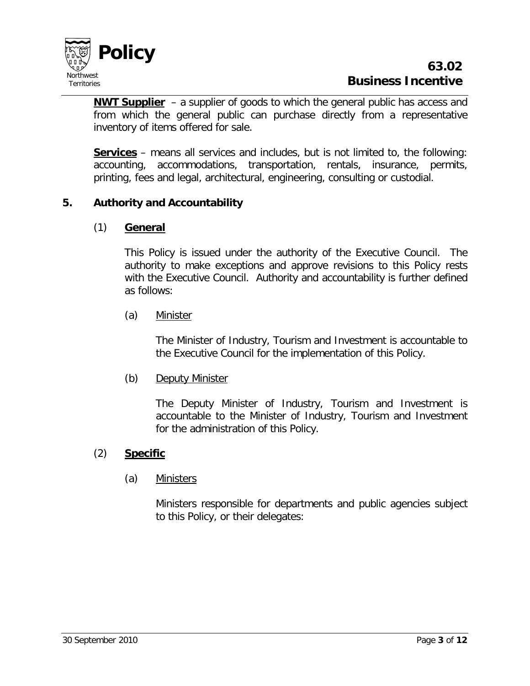

**NWT Supplier** – a supplier of goods to which the general public has access and from which the general public can purchase directly from a representative inventory of items offered for sale.

**Services** – means all services and includes, but is not limited to, the following: accounting, accommodations, transportation, rentals, insurance, permits, printing, fees and legal, architectural, engineering, consulting or custodial.

# **5. Authority and Accountability**

#### (1) **General**

This Policy is issued under the authority of the Executive Council. The authority to make exceptions and approve revisions to this Policy rests with the Executive Council. Authority and accountability is further defined as follows:

#### (a) Minister

The Minister of Industry, Tourism and Investment is accountable to the Executive Council for the implementation of this Policy.

(b) Deputy Minister

The Deputy Minister of Industry, Tourism and Investment is accountable to the Minister of Industry, Tourism and Investment for the administration of this Policy.

#### (2) **Specific**

#### (a) Ministers

Ministers responsible for departments and public agencies subject to this Policy, or their delegates: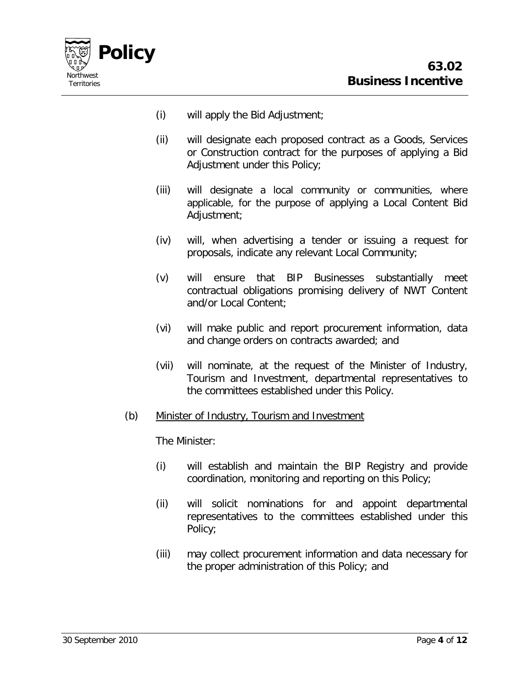

- (i) will apply the Bid Adjustment;
- (ii) will designate each proposed contract as a Goods, Services or Construction contract for the purposes of applying a Bid Adjustment under this Policy;
- (iii) will designate a local community or communities, where applicable, for the purpose of applying a Local Content Bid Adjustment;
- (iv) will, when advertising a tender or issuing a request for proposals, indicate any relevant Local Community;
- (v) will ensure that BIP Businesses substantially meet contractual obligations promising delivery of NWT Content and/or Local Content;
- (vi) will make public and report procurement information, data and change orders on contracts awarded; and
- (vii) will nominate, at the request of the Minister of Industry, Tourism and Investment, departmental representatives to the committees established under this Policy.
- (b) Minister of Industry, Tourism and Investment

The Minister:

- (i) will establish and maintain the BIP Registry and provide coordination, monitoring and reporting on this Policy;
- (ii) will solicit nominations for and appoint departmental representatives to the committees established under this Policy;
- (iii) may collect procurement information and data necessary for the proper administration of this Policy; and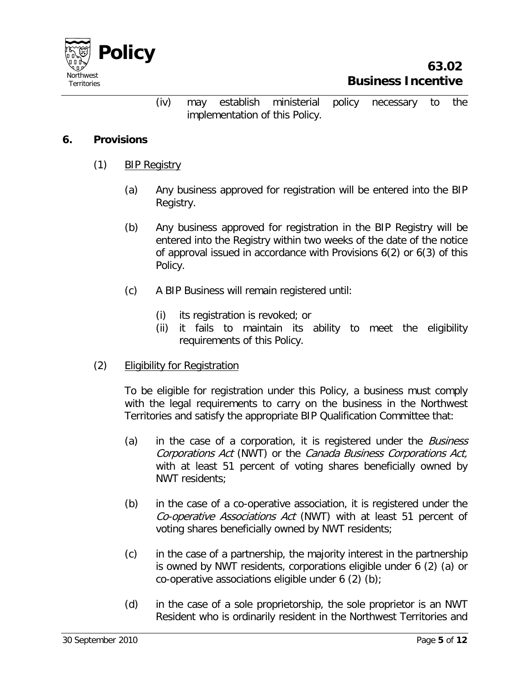

(iv) may establish ministerial policy necessary to the implementation of this Policy.

### **6. Provisions**

- (1) BIP Registry
	- (a) Any business approved for registration will be entered into the BIP Registry.
	- (b) Any business approved for registration in the BIP Registry will be entered into the Registry within two weeks of the date of the notice of approval issued in accordance with Provisions 6(2) or 6(3) of this Policy.
	- (c) A BIP Business will remain registered until:
		- (i) its registration is revoked; or
		- (ii) it fails to maintain its ability to meet the eligibility requirements of this Policy.
- (2) Eligibility for Registration

To be eligible for registration under this Policy, a business must comply with the legal requirements to carry on the business in the Northwest Territories and satisfy the appropriate BIP Qualification Committee that:

- (a) in the case of a corporation, it is registered under the *Business* Corporations Act (NWT) or the Canada Business Corporations Act, with at least 51 percent of voting shares beneficially owned by NWT residents;
- (b) in the case of a co-operative association, it is registered under the Co-operative Associations Act (NWT) with at least 51 percent of voting shares beneficially owned by NWT residents;
- (c) in the case of a partnership, the majority interest in the partnership is owned by NWT residents, corporations eligible under 6 (2) (a) or co-operative associations eligible under  $6$  (2) (b);
- (d) in the case of a sole proprietorship, the sole proprietor is an NWT Resident who is ordinarily resident in the Northwest Territories and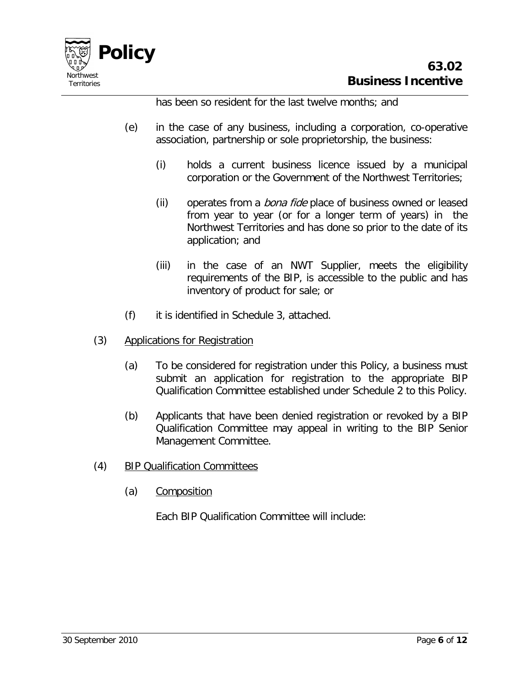

has been so resident for the last twelve months; and

- (e) in the case of any business, including a corporation, co-operative association, partnership or sole proprietorship, the business:
	- (i) holds a current business licence issued by a municipal corporation or the Government of the Northwest Territories;
	- (ii) operates from a *bona fide* place of business owned or leased from year to year (or for a longer term of years) in the Northwest Territories and has done so prior to the date of its application; and
	- (iii) in the case of an NWT Supplier, meets the eligibility requirements of the BIP, is accessible to the public and has inventory of product for sale; or
- (f) it is identified in Schedule 3, attached.
- (3) Applications for Registration
	- (a) To be considered for registration under this Policy, a business must submit an application for registration to the appropriate BIP Qualification Committee established under Schedule 2 to this Policy.
	- (b) Applicants that have been denied registration or revoked by a BIP Qualification Committee may appeal in writing to the BIP Senior Management Committee.
- (4) BIP Qualification Committees
	- (a) Composition

Each BIP Qualification Committee will include: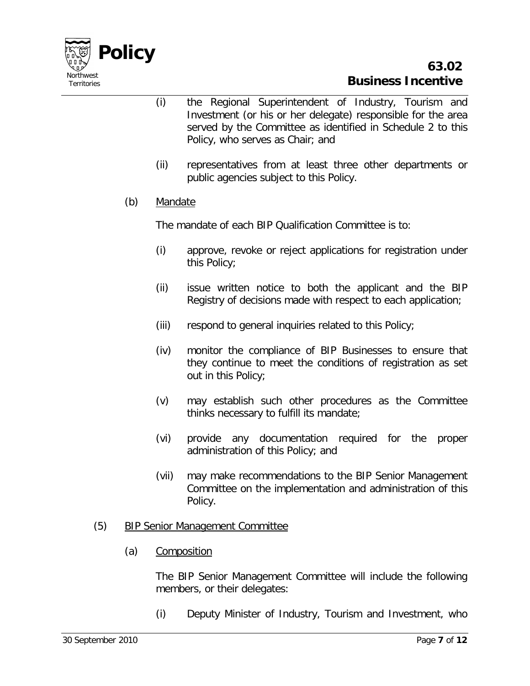

- (i) the Regional Superintendent of Industry, Tourism and Investment (or his or her delegate) responsible for the area served by the Committee as identified in Schedule 2 to this Policy, who serves as Chair; and
- (ii) representatives from at least three other departments or public agencies subject to this Policy.

# (b) Mandate

The mandate of each BIP Qualification Committee is to:

- (i) approve, revoke or reject applications for registration under this Policy;
- (ii) issue written notice to both the applicant and the BIP Registry of decisions made with respect to each application;
- (iii) respond to general inquiries related to this Policy;
- (iv) monitor the compliance of BIP Businesses to ensure that they continue to meet the conditions of registration as set out in this Policy;
- (v) may establish such other procedures as the Committee thinks necessary to fulfill its mandate;
- (vi) provide any documentation required for the proper administration of this Policy; and
- (vii) may make recommendations to the BIP Senior Management Committee on the implementation and administration of this Policy.

#### (5) BIP Senior Management Committee

(a) Composition

The BIP Senior Management Committee will include the following members, or their delegates:

(i) Deputy Minister of Industry, Tourism and Investment, who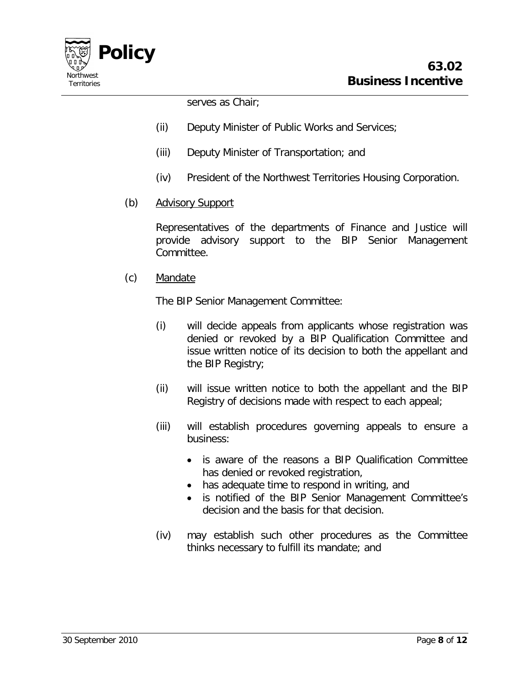

serves as Chair;

- (ii) Deputy Minister of Public Works and Services;
- (iii) Deputy Minister of Transportation; and
- (iv) President of the Northwest Territories Housing Corporation.
- (b) Advisory Support

Representatives of the departments of Finance and Justice will provide advisory support to the BIP Senior Management Committee.

(c) Mandate

The BIP Senior Management Committee:

- (i) will decide appeals from applicants whose registration was denied or revoked by a BIP Qualification Committee and issue written notice of its decision to both the appellant and the BIP Registry;
- (ii) will issue written notice to both the appellant and the BIP Registry of decisions made with respect to each appeal;
- (iii) will establish procedures governing appeals to ensure a business:
	- is aware of the reasons a BIP Qualification Committee has denied or revoked registration,
	- has adequate time to respond in writing, and
	- is notified of the BIP Senior Management Committee's decision and the basis for that decision.
- (iv) may establish such other procedures as the Committee thinks necessary to fulfill its mandate; and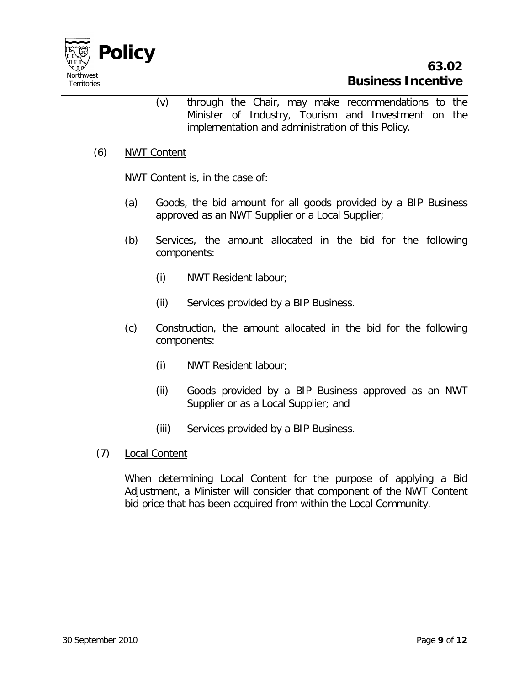

(v) through the Chair, may make recommendations to the Minister of Industry, Tourism and Investment on the implementation and administration of this Policy.

#### (6) NWT Content

NWT Content is, in the case of:

- (a) Goods, the bid amount for all goods provided by a BIP Business approved as an NWT Supplier or a Local Supplier;
- (b) Services, the amount allocated in the bid for the following components:
	- (i) NWT Resident labour;
	- (ii) Services provided by a BIP Business.
- (c) Construction, the amount allocated in the bid for the following components:
	- (i) NWT Resident labour;
	- (ii) Goods provided by a BIP Business approved as an NWT Supplier or as a Local Supplier; and
	- (iii) Services provided by a BIP Business.
- (7) Local Content

When determining Local Content for the purpose of applying a Bid Adjustment, a Minister will consider that component of the NWT Content bid price that has been acquired from within the Local Community.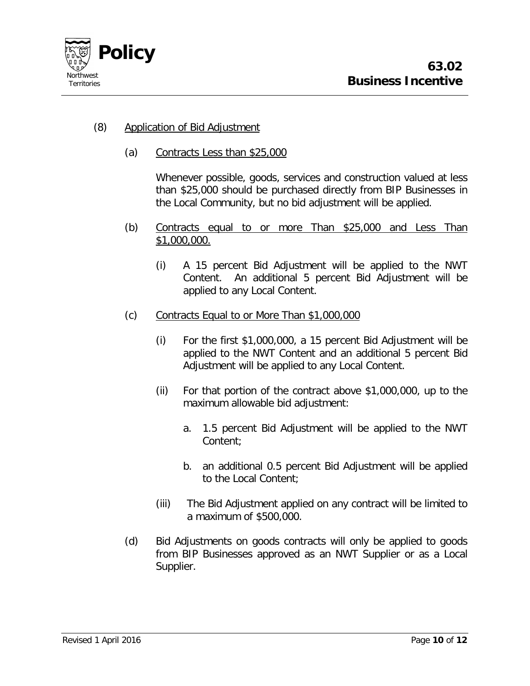

### (8) Application of Bid Adjustment

(a) Contracts Less than \$25,000

Whenever possible, goods, services and construction valued at less than \$25,000 should be purchased directly from BIP Businesses in the Local Community, but no bid adjustment will be applied.

- (b) Contracts equal to or more Than \$25,000 and Less Than \$1,000,000.
	- (i) A 15 percent Bid Adjustment will be applied to the NWT Content. An additional 5 percent Bid Adjustment will be applied to any Local Content.
- (c) Contracts Equal to or More Than \$1,000,000
	- (i) For the first \$1,000,000, a 15 percent Bid Adjustment will be applied to the NWT Content and an additional 5 percent Bid Adjustment will be applied to any Local Content.
	- (ii) For that portion of the contract above \$1,000,000, up to the maximum allowable bid adjustment:
		- a. 1.5 percent Bid Adjustment will be applied to the NWT Content;
		- b. an additional 0.5 percent Bid Adjustment will be applied to the Local Content;
	- (iii) The Bid Adjustment applied on any contract will be limited to a maximum of \$500,000.
- (d) Bid Adjustments on goods contracts will only be applied to goods from BIP Businesses approved as an NWT Supplier or as a Local Supplier.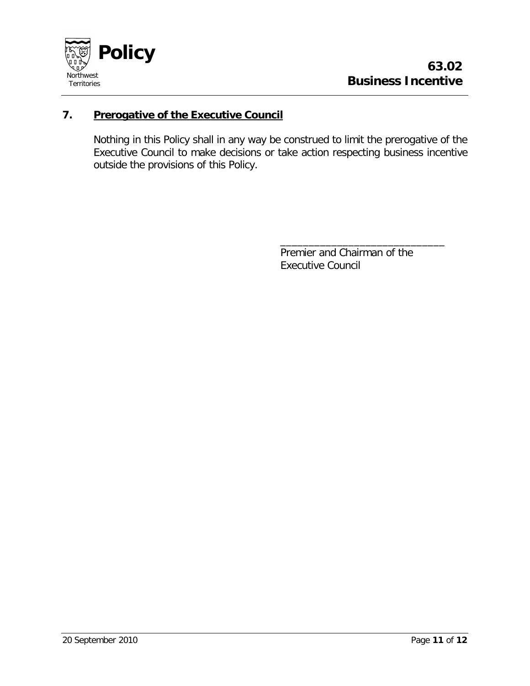

# **7. Prerogative of the Executive Council**

Nothing in this Policy shall in any way be construed to limit the prerogative of the Executive Council to make decisions or take action respecting business incentive outside the provisions of this Policy.

> Premier and Chairman of the Executive Council

\_\_\_\_\_\_\_\_\_\_\_\_\_\_\_\_\_\_\_\_\_\_\_\_\_\_\_\_\_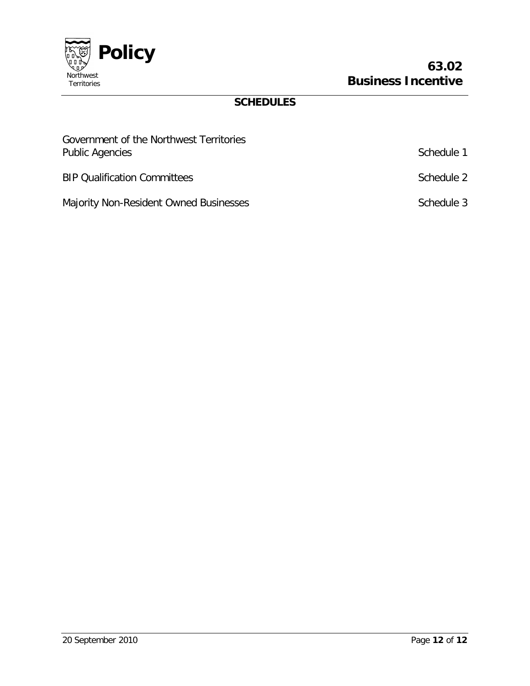

# **SCHEDULES**

| Government of the Northwest Territories<br><b>Public Agencies</b> | Schedule 1 |
|-------------------------------------------------------------------|------------|
| <b>BIP Qualification Committees</b>                               | Schedule 2 |
| Majority Non-Resident Owned Businesses                            | Schedule 3 |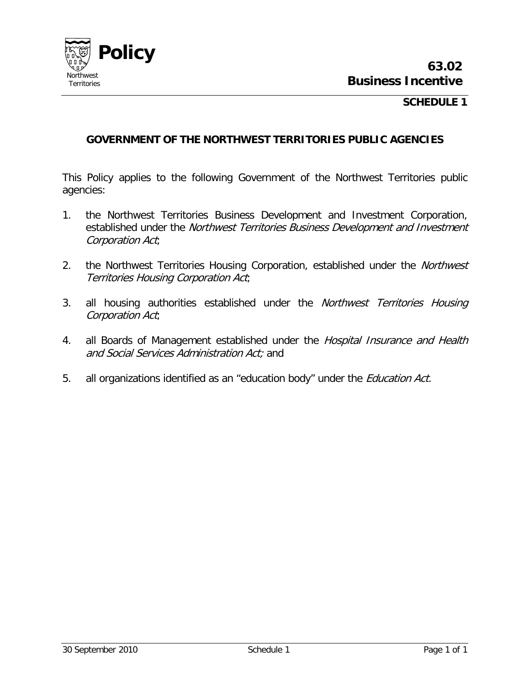

#### **SCHEDULE 1**

#### **GOVERNMENT OF THE NORTHWEST TERRITORIES PUBLIC AGENCIES**

This Policy applies to the following Government of the Northwest Territories public agencies:

- 1. the Northwest Territories Business Development and Investment Corporation, established under the Northwest Territories Business Development and Investment Corporation Act;
- 2. the Northwest Territories Housing Corporation, established under the Northwest Territories Housing Corporation Act;
- 3. all housing authorities established under the Northwest Territories Housing Corporation Act;
- 4. all Boards of Management established under the Hospital Insurance and Health and Social Services Administration Act; and
- 5. all organizations identified as an "education body" under the *Education Act.*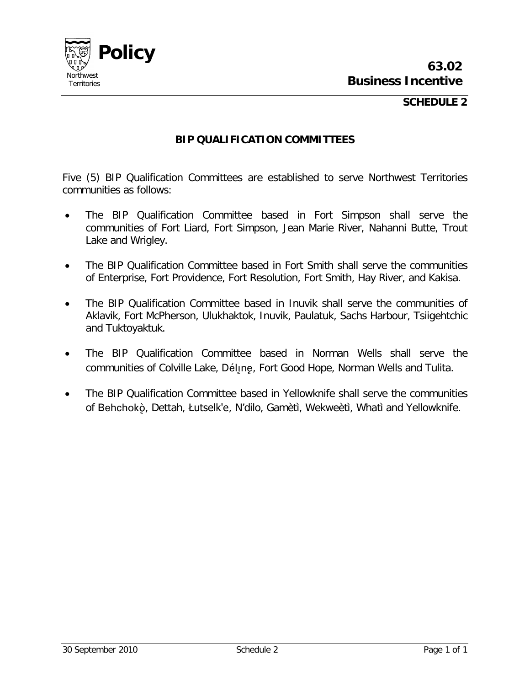

#### **SCHEDULE 2**

#### **BIP QUALIFICATION COMMITTEES**

Five (5) BIP Qualification Committees are established to serve Northwest Territories communities as follows:

- The BIP Qualification Committee based in Fort Simpson shall serve the communities of Fort Liard, Fort Simpson, Jean Marie River, Nahanni Butte, Trout Lake and Wrigley.
- The BIP Qualification Committee based in Fort Smith shall serve the communities of Enterprise, Fort Providence, Fort Resolution, Fort Smith, Hay River, and Kakisa.
- The BIP Qualification Committee based in Inuvik shall serve the communities of Aklavik, Fort McPherson, Ulukhaktok, Inuvik, Paulatuk, Sachs Harbour, Tsiigehtchic and Tuktoyaktuk.
- The BIP Qualification Committee based in Norman Wells shall serve the communities of Colville Lake, Déljne, Fort Good Hope, Norman Wells and Tulita.
- The BIP Qualification Committee based in Yellowknife shall serve the communities of Behchokö, Dettah, Łutselk'e, N'dilo, Gamètì, Wekweètì, Whatì and Yellowknife.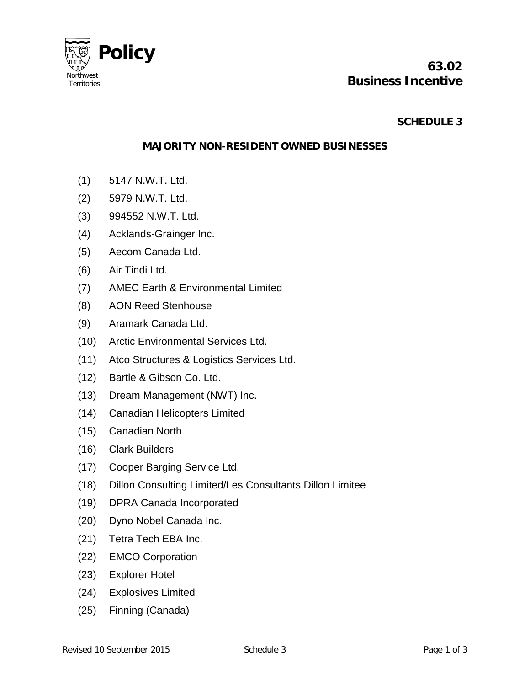

### **SCHEDULE 3**

#### **MAJORITY NON-RESIDENT OWNED BUSINESSES**

- (1) 5147 N.W.T. Ltd.
- (2) 5979 N.W.T. Ltd.
- (3) 994552 N.W.T. Ltd.
- (4) Acklands-Grainger Inc.
- (5) Aecom Canada Ltd.
- (6) Air Tindi Ltd.
- (7) AMEC Earth & Environmental Limited
- (8) AON Reed Stenhouse
- (9) Aramark Canada Ltd.
- (10) Arctic Environmental Services Ltd.
- (11) Atco Structures & Logistics Services Ltd.
- (12) Bartle & Gibson Co. Ltd.
- (13) Dream Management (NWT) Inc.
- (14) Canadian Helicopters Limited
- (15) Canadian North
- (16) Clark Builders
- (17) Cooper Barging Service Ltd.
- (18) Dillon Consulting Limited/Les Consultants Dillon Limitee
- (19) DPRA Canada Incorporated
- (20) Dyno Nobel Canada Inc.
- (21) Tetra Tech EBA Inc.
- (22) EMCO Corporation
- (23) Explorer Hotel
- (24) Explosives Limited
- (25) Finning (Canada)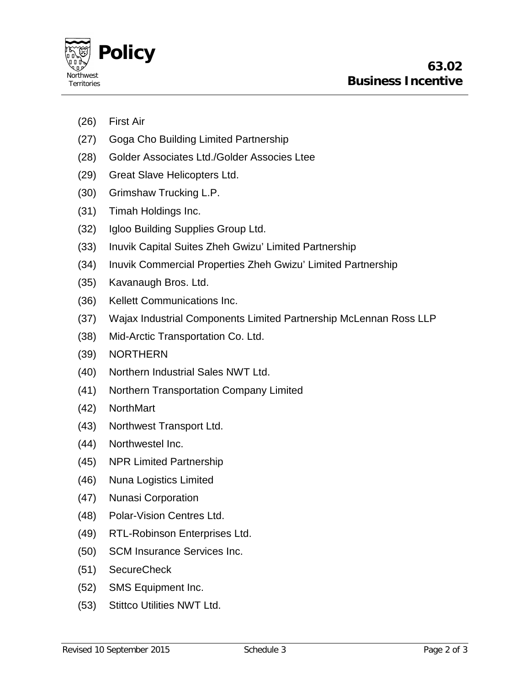

- (26) First Air
- (27) Goga Cho Building Limited Partnership
- (28) Golder Associates Ltd./Golder Associes Ltee
- (29) Great Slave Helicopters Ltd.
- (30) Grimshaw Trucking L.P.
- (31) Timah Holdings Inc.
- (32) Igloo Building Supplies Group Ltd.
- (33) Inuvik Capital Suites Zheh Gwizu' Limited Partnership
- (34) Inuvik Commercial Properties Zheh Gwizu' Limited Partnership
- (35) Kavanaugh Bros. Ltd.
- (36) Kellett Communications Inc.
- (37) Wajax Industrial Components Limited Partnership McLennan Ross LLP
- (38) Mid-Arctic Transportation Co. Ltd.
- (39) NORTHERN
- (40) Northern Industrial Sales NWT Ltd.
- (41) Northern Transportation Company Limited
- (42) NorthMart
- (43) Northwest Transport Ltd.
- (44) Northwestel Inc.
- (45) NPR Limited Partnership
- (46) Nuna Logistics Limited
- (47) Nunasi Corporation
- (48) Polar-Vision Centres Ltd.
- (49) RTL-Robinson Enterprises Ltd.
- (50) SCM Insurance Services Inc.
- (51) SecureCheck
- (52) SMS Equipment Inc.
- (53) Stittco Utilities NWT Ltd.